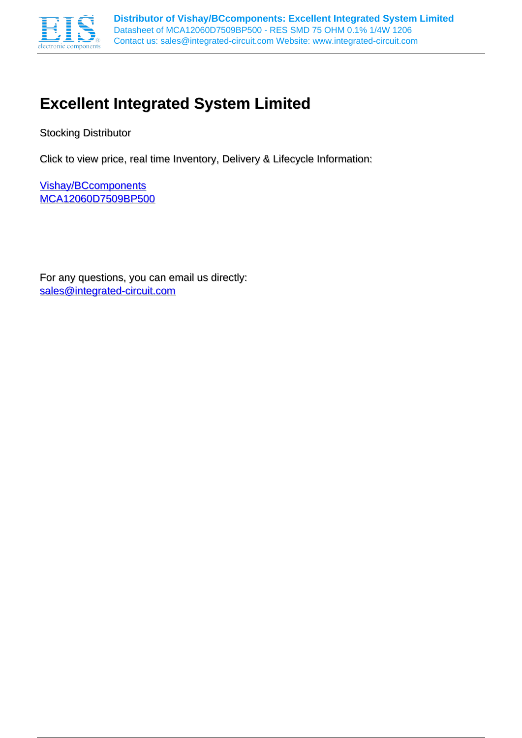

# **Excellent Integrated System Limited**

Stocking Distributor

Click to view price, real time Inventory, Delivery & Lifecycle Information:

[Vishay/BCcomponents](http://www.integrated-circuit.com/manufacturers/Vishay-Bccomponents.html) [MCA12060D7509BP500](http://www.integrated-circuit.com/tag/MCA12060D7509BP500.html)

For any questions, you can email us directly: [sales@integrated-circuit.com](mailto:sales@integrated-circuit.com)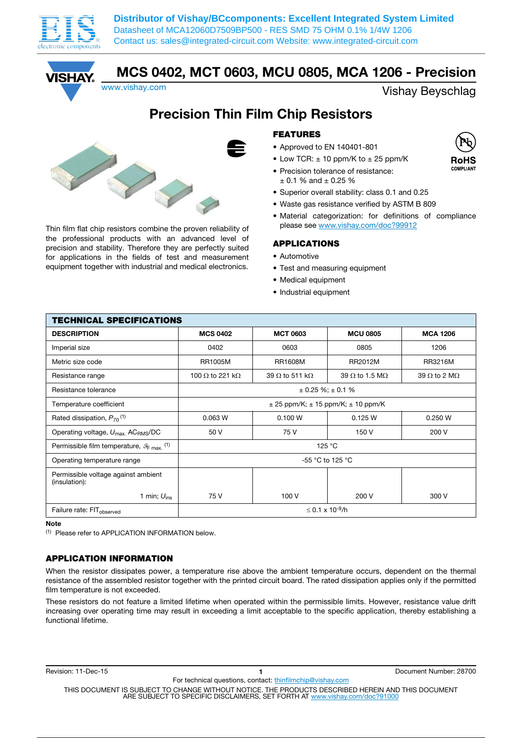



MCS 0402, MCT 0603, MCU 0805, MCA 1206 - Precision

www.vishay.com Vishay.com

# Precision Thin Film Chip Resistors



Thin film flat chip resistors combine the proven reliability of the professional products with an advanced level of precision and stability. Therefore they are perfectly suited for applications in the fields of test and measurement equipment together with industrial and medical electronics.

### FEATURES

- Approved to EN 140401-801
- Low TCR:  $\pm$  10 ppm/K to  $\pm$  25 ppm/K
- Precision tolerance of resistance:  $+0.1$  % and  $+0.25$  %
- Superior overall stability: class 0.1 and 0.25
- Waste gas resistance verified by ASTM B 809
- Material categorization: for definitions of compliance please see www.vishay.com/doc?99912

#### APPLICATIONS

- Automotive
- Test and measuring equipment
- Medical equipment
- Industrial equipment

| <b>TECHNICAL SPECIFICATIONS</b>                                |                                |                               |                                                |                             |  |  |  |
|----------------------------------------------------------------|--------------------------------|-------------------------------|------------------------------------------------|-----------------------------|--|--|--|
| <b>DESCRIPTION</b>                                             | <b>MCS 0402</b>                | <b>MCT 0603</b>               | <b>MCU 0805</b>                                | <b>MCA 1206</b>             |  |  |  |
| Imperial size                                                  | 0402                           | 0603                          | 0805                                           | 1206                        |  |  |  |
| Metric size code                                               | <b>RR1005M</b>                 | <b>RR1608M</b>                | RR2012M                                        | <b>RR3216M</b>              |  |  |  |
| Resistance range                                               | 100 $\Omega$ to 221 k $\Omega$ | 39 $\Omega$ to 511 k $\Omega$ | 39 $\Omega$ to 1.5 M $\Omega$                  | 39 $\Omega$ to 2 M $\Omega$ |  |  |  |
| Resistance tolerance                                           |                                |                               | $\pm$ 0.25 %; $\pm$ 0.1 %                      |                             |  |  |  |
| Temperature coefficient                                        |                                |                               | $\pm$ 25 ppm/K; $\pm$ 15 ppm/K; $\pm$ 10 ppm/K |                             |  |  |  |
| Rated dissipation, $P_{70}$ <sup>(1)</sup>                     | 0.063 W                        | 0.100 W                       | 0.125 W                                        | 0.250 W                     |  |  |  |
| Operating voltage, $U_{\text{max}}$ , ACRMS/DC                 | 50 V                           | 75 V                          | 150 V                                          | 200 V                       |  |  |  |
| Permissible film temperature, $\mathcal{G}_{\text{F max}}$ (1) |                                |                               | 125 °C                                         |                             |  |  |  |
| Operating temperature range                                    |                                |                               | -55 °C to 125 °C                               |                             |  |  |  |
| Permissible voltage against ambient<br>(insulation):           |                                |                               |                                                |                             |  |  |  |
| 1 min; $U_{ins}$                                               | 75 V                           | 100 V                         | 200 V                                          | 300 V                       |  |  |  |
| Failure rate: FIT <sub>observed</sub>                          | ≤ 0.1 x 10 <sup>-9</sup> /h    |                               |                                                |                             |  |  |  |

Note

(1) Please refer to APPLICATION INFORMATION below.

### APPLICATION INFORMATION

When the resistor dissipates power, a temperature rise above the ambient temperature occurs, dependent on the thermal resistance of the assembled resistor together with the printed circuit board. The rated dissipation applies only if the permitted film temperature is not exceeded.

These resistors do not feature a limited lifetime when operated within the permissible limits. However, resistance value drift increasing over operating time may result in exceeding a limit acceptable to the specific application, thereby establishing a functional lifetime.

For technical questions, contact: thinfilmchip@vishay.com

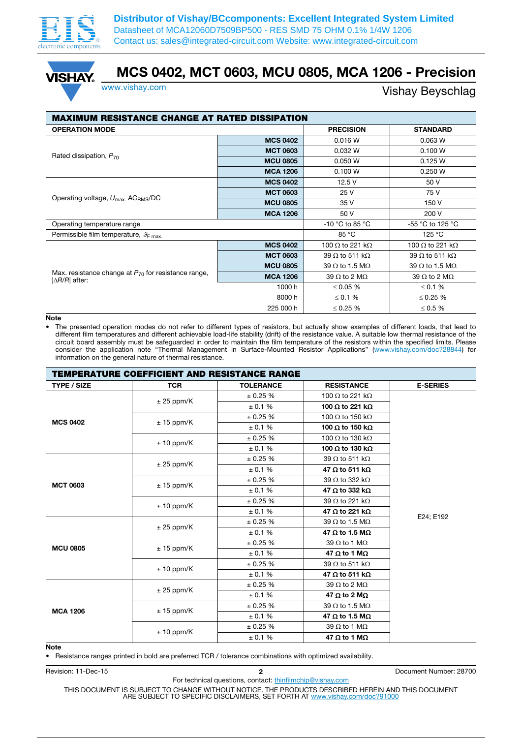



# MCS 0402, MCT 0603, MCU 0805, MCA 1206 - Precision

### www.vishay.com **Vishay Beyschlag**

| <b>MAXIMUM RESISTANCE CHANGE AT RATED DISSIPATION</b>                                       |                 |                                |                                |  |  |  |  |
|---------------------------------------------------------------------------------------------|-----------------|--------------------------------|--------------------------------|--|--|--|--|
| <b>OPERATION MODE</b>                                                                       |                 | <b>PRECISION</b>               | <b>STANDARD</b>                |  |  |  |  |
|                                                                                             | <b>MCS 0402</b> | 0.016 W                        | 0.063 W                        |  |  |  |  |
| Rated dissipation, $P_{70}$                                                                 | <b>MCT 0603</b> | 0.032 W                        | 0.100 W                        |  |  |  |  |
|                                                                                             | <b>MCU 0805</b> | 0.050 W                        | 0.125 W                        |  |  |  |  |
|                                                                                             | <b>MCA 1206</b> | 0.100 W                        | 0.250 W                        |  |  |  |  |
|                                                                                             | <b>MCS 0402</b> | 12.5V                          | 50 V                           |  |  |  |  |
|                                                                                             | <b>MCT 0603</b> | 25 V                           | 75 V                           |  |  |  |  |
| Operating voltage, $U_{\text{max}}$ , ACRMS/DC                                              | <b>MCU 0805</b> | 35 V                           | 150 V                          |  |  |  |  |
|                                                                                             | <b>MCA 1206</b> | 50 V                           | 200 V                          |  |  |  |  |
| Operating temperature range                                                                 |                 | -10 °C to 85 °C                | -55 °C to 125 °C               |  |  |  |  |
| Permissible film temperature, $\mathcal{G}_{F \text{ max}}$ .                               |                 | 85 °C                          | 125 °C                         |  |  |  |  |
|                                                                                             | <b>MCS 0402</b> | 100 $\Omega$ to 221 k $\Omega$ | 100 $\Omega$ to 221 k $\Omega$ |  |  |  |  |
|                                                                                             | <b>MCT 0603</b> | 39 $\Omega$ to 511 k $\Omega$  | 39 $\Omega$ to 511 k $\Omega$  |  |  |  |  |
|                                                                                             | <b>MCU 0805</b> | 39 $\Omega$ to 1.5 M $\Omega$  | 39 $\Omega$ to 1.5 M $\Omega$  |  |  |  |  |
| Max. resistance change at $P_{70}$ for resistance range,<br>$\vert \Delta R/R \vert$ after: | <b>MCA 1206</b> | 39 $\Omega$ to 2 M $\Omega$    | 39 $\Omega$ to 2 M $\Omega$    |  |  |  |  |
|                                                                                             | 1000 h          | ≤ 0.05 $%$                     | ≤ 0.1 %                        |  |  |  |  |
|                                                                                             | 8000 h          | $\leq 0.1$ %                   | ≤ 0.25 $%$                     |  |  |  |  |
|                                                                                             | 225 000 h       | ≤ 0.25 $%$                     | $\leq 0.5$ %                   |  |  |  |  |

#### **Note**

• The presented operation modes do not refer to different types of resistors, but actually show examples of different loads, that lead to different film temperatures and different achievable load-life stability (drift) of the resistance value. A suitable low thermal resistance of the circuit board assembly must be safeguarded in order to maintain the film temperature of the resistors within the specified limits. Please consider the application note "Thermal Management in Surface-Mounted Resistor Applications" (www.vishay.com/doc?28844) for information on the general nature of thermal resistance.

|                    | <b>TEMPERATURE COEFFICIENT AND RESISTANCE RANGE</b> |                  |                                |                 |  |  |  |
|--------------------|-----------------------------------------------------|------------------|--------------------------------|-----------------|--|--|--|
| <b>TYPE / SIZE</b> | <b>TCR</b>                                          | <b>TOLERANCE</b> | <b>RESISTANCE</b>              | <b>E-SERIES</b> |  |  |  |
| <b>MCS 0402</b>    |                                                     | ± 0.25%          | 100 $\Omega$ to 221 k $\Omega$ |                 |  |  |  |
|                    | $± 25$ ppm/K                                        | ± 0.1 %          | 100 $\Omega$ to 221 k $\Omega$ |                 |  |  |  |
|                    | $± 15$ ppm/K                                        | ± 0.25 %         | 100 $\Omega$ to 150 k $\Omega$ |                 |  |  |  |
|                    |                                                     | ± 0.1 %          | 100 $\Omega$ to 150 k $\Omega$ |                 |  |  |  |
|                    | $± 10$ ppm/K                                        | ± 0.25%          | 100 $\Omega$ to 130 k $\Omega$ |                 |  |  |  |
|                    |                                                     | ± 0.1 %          | 100 $\Omega$ to 130 k $\Omega$ |                 |  |  |  |
|                    | $± 25$ ppm/K                                        | ± 0.25 %         | 39 $\Omega$ to 511 k $\Omega$  |                 |  |  |  |
|                    |                                                     | ± 0.1 %          | 47 $\Omega$ to 511 k $\Omega$  |                 |  |  |  |
| <b>MCT 0603</b>    | $± 15$ ppm/K                                        | ± 0.25%          | 39 $\Omega$ to 332 k $\Omega$  |                 |  |  |  |
|                    |                                                     | ± 0.1 %          | 47 $\Omega$ to 332 k $\Omega$  |                 |  |  |  |
|                    | $± 10$ ppm/K                                        | ± 0.25%          | 39 $\Omega$ to 221 k $\Omega$  |                 |  |  |  |
|                    |                                                     | ± 0.1 %          | 47 $\Omega$ to 221 k $\Omega$  | E24; E192       |  |  |  |
|                    |                                                     | ± 0.25%          | 39 $\Omega$ to 1.5 M $\Omega$  |                 |  |  |  |
|                    | $± 25$ ppm/K                                        | ± 0.1 %          | 47 $\Omega$ to 1.5 M $\Omega$  |                 |  |  |  |
| <b>MCU 0805</b>    |                                                     | ± 0.25%          | 39 $\Omega$ to 1 M $\Omega$    |                 |  |  |  |
|                    | $± 15$ ppm/K                                        | ± 0.1 %          | 47 $\Omega$ to 1 M $\Omega$    |                 |  |  |  |
|                    |                                                     | ± 0.25%          | 39 $\Omega$ to 511 k $\Omega$  |                 |  |  |  |
|                    | $± 10$ ppm/K                                        | ± 0.1 %          | 47 $\Omega$ to 511 k $\Omega$  |                 |  |  |  |
|                    | $± 25$ ppm/K                                        | ± 0.25%          | 39 $\Omega$ to 2 M $\Omega$    |                 |  |  |  |
|                    |                                                     | ± 0.1 %          | 47 $\Omega$ to 2 M $\Omega$    |                 |  |  |  |
|                    |                                                     | ± 0.25%          | 39 $\Omega$ to 1.5 M $\Omega$  |                 |  |  |  |
| <b>MCA 1206</b>    | $± 15$ ppm/K                                        | ± 0.1 %          | 47 $\Omega$ to 1.5 M $\Omega$  |                 |  |  |  |
|                    |                                                     | ± 0.25 %         | 39 $\Omega$ to 1 M $\Omega$    |                 |  |  |  |
|                    | $± 10$ ppm/K                                        | ± 0.1 %          | 47 $\Omega$ to 1 M $\Omega$    |                 |  |  |  |
| Note               |                                                     |                  |                                |                 |  |  |  |

• Resistance ranges printed in bold are preferred TCR / tolerance combinations with optimized availability.

Revision: 11-Dec-15 28700 network and the control of the control of the control of the control of the control of the control of the control of the control of the control of the control of the control of the control of the

For technical questions, contact: thinfilmchip@vishay.com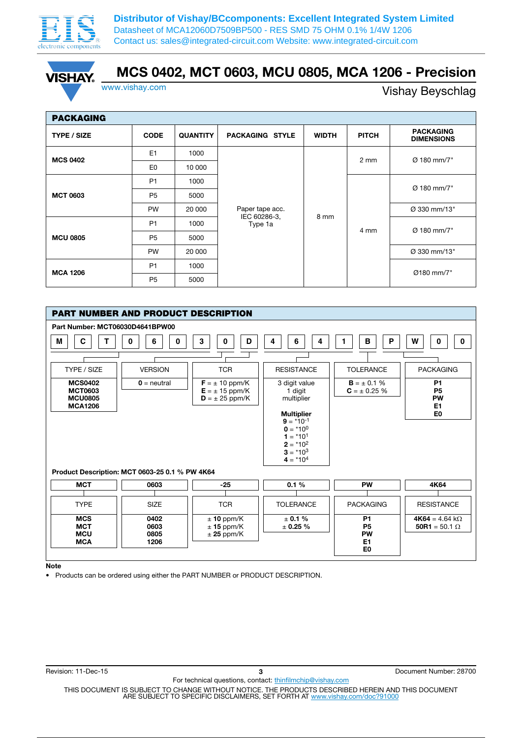



## MCS 0402, MCT 0603, MCU 0805, MCA 1206 - Precision

www.vishay.com Vishay Beyschlag

| <b>PACKAGING</b>   |                |                 |                                 |              |              |                                       |  |  |  |
|--------------------|----------------|-----------------|---------------------------------|--------------|--------------|---------------------------------------|--|--|--|
| <b>TYPE / SIZE</b> | <b>CODE</b>    | <b>QUANTITY</b> | <b>PACKAGING STYLE</b>          | <b>WIDTH</b> | <b>PITCH</b> | <b>PACKAGING</b><br><b>DIMENSIONS</b> |  |  |  |
| <b>MCS 0402</b>    | E <sub>1</sub> | 1000            |                                 |              | 2 mm         | Ø 180 mm/7"                           |  |  |  |
|                    | E0             | 10 000          |                                 |              |              |                                       |  |  |  |
| <b>MCT 0603</b>    | P <sub>1</sub> | 1000            |                                 | 8 mm         | 4 mm         | Ø 180 mm/7"                           |  |  |  |
|                    | P <sub>5</sub> | 5000            | Paper tape acc.<br>IEC 60286-3, |              |              |                                       |  |  |  |
|                    | <b>PW</b>      | 20 000          |                                 |              |              | Ø 330 mm/13"                          |  |  |  |
|                    | P <sub>1</sub> | 1000            | Type 1a                         |              |              | Ø 180 mm/7"                           |  |  |  |
| <b>MCU 0805</b>    | P <sub>5</sub> | 5000            |                                 |              |              |                                       |  |  |  |
|                    | <b>PW</b>      | 20 000          |                                 |              |              | Ø 330 mm/13"                          |  |  |  |
| <b>MCA 1206</b>    | P <sub>1</sub> | 1000            |                                 |              |              | Ø180 mm/7"                            |  |  |  |
|                    | P <sub>5</sub> | 5000            |                                 |              |              |                                       |  |  |  |



Note

• Products can be ordered using either the PART NUMBER or PRODUCT DESCRIPTION.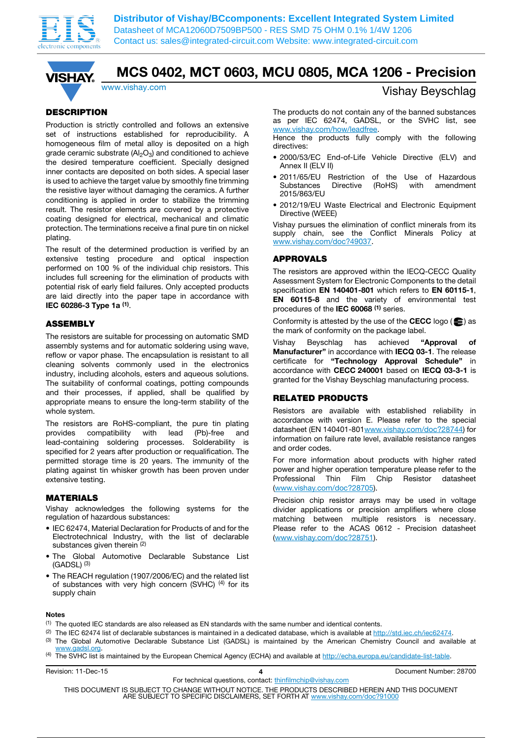



## MCS 0402, MCT 0603, MCU 0805, MCA 1206 - Precision

### **DESCRIPTION**

Production is strictly controlled and follows an extensive set of instructions established for reproducibility. A homogeneous film of metal alloy is deposited on a high grade ceramic substrate  $(A|_2O_3)$  and conditioned to achieve the desired temperature coefficient. Specially designed inner contacts are deposited on both sides. A special laser is used to achieve the target value by smoothly fine trimming the resistive layer without damaging the ceramics. A further conditioning is applied in order to stabilize the trimming result. The resistor elements are covered by a protective coating designed for electrical, mechanical and climatic protection. The terminations receive a final pure tin on nickel plating.

The result of the determined production is verified by an extensive testing procedure and optical inspection performed on 100 % of the individual chip resistors. This includes full screening for the elimination of products with potential risk of early field failures. Only accepted products are laid directly into the paper tape in accordance with IEC 60286-3 Type 1a (1).

### ASSEMBLY

The resistors are suitable for processing on automatic SMD assembly systems and for automatic soldering using wave, reflow or vapor phase. The encapsulation is resistant to all cleaning solvents commonly used in the electronics industry, including alcohols, esters and aqueous solutions. The suitability of conformal coatings, potting compounds and their processes, if applied, shall be qualified by appropriate means to ensure the long-term stability of the whole system.

The resistors are RoHS-compliant, the pure tin plating provides compatibility with lead (Pb)-free and lead-containing soldering processes. Solderability is specified for 2 years after production or requalification. The permitted storage time is 20 years. The immunity of the plating against tin whisker growth has been proven under extensive testing.

#### MATERIALS

Vishay acknowledges the following systems for the regulation of hazardous substances:

- IEC 62474, Material Declaration for Products of and for the Electrotechnical Industry, with the list of declarable substances given therein (2)
- The Global Automotive Declarable Substance List  $(GADSL)$   $(3)$
- The REACH regulation (1907/2006/EC) and the related list of substances with very high concern (SVHC)  $(4)$  for its supply chain

### www.vishay.com **Vishay.com** Vishay Beyschlag

The products do not contain any of the banned substances as per IEC 62474, GADSL, or the SVHC list, see www.vishay.com/how/leadfree.

Hence the products fully comply with the following directives:

- 2000/53/EC End-of-Life Vehicle Directive (ELV) and Annex II (ELV II)
- 2011/65/EU Restriction of the Use of Hazardous with amendment 2015/863/EU
- 2012/19/EU Waste Electrical and Electronic Equipment Directive (WEEE)

Vishay pursues the elimination of conflict minerals from its supply chain, see the Conflict Minerals Policy at www.vishay.com/doc?49037.

#### APPROVALS

The resistors are approved within the IECQ-CECC Quality Assessment System for Electronic Components to the detail specification EN 140401-801 which refers to EN 60115-1, EN 60115-8 and the variety of environmental test procedures of the IEC 60068<sup>(1)</sup> series.

Conformity is attested by the use of the CECC logo  $(\triangleq)$  as the mark of conformity on the package label.

Vishay Beyschlag has achieved "Approval of Manufacturer" in accordance with **IECQ 03-1**. The release certificate for "Technology Approval Schedule" in accordance with CECC 240001 based on IECQ 03-3-1 is granted for the Vishay Beyschlag manufacturing process.

#### RELATED PRODUCTS

Resistors are available with established reliability in accordance with version E. Please refer to the special datasheet (EN 140401-801www.vishay.com/doc?28744) for information on failure rate level, available resistance ranges and order codes.

For more information about products with higher rated power and higher operation temperature please refer to the Professional Thin Film Chip Resistor datasheet (www.vishay.com/doc?28705).

Precision chip resistor arrays may be used in voltage divider applications or precision amplifiers where close matching between multiple resistors is necessary. Please refer to the ACAS 0612 - Precision datasheet (www.vishay.com/doc?28751).

#### Notes

- (1) The quoted IEC standards are also released as EN standards with the same number and identical contents.
- (2) The IEC 62474 list of declarable substances is maintained in a dedicated database, which is available at http://std.iec.ch/iec62474.
- (3) The Global Automotive Declarable Substance List (GADSL) is maintained by the American Chemistry Council and available at www.gadsl.org
- (4) The SVHC list is maintained by the European Chemical Agency (ECHA) and available at http://echa.europa.eu/candidate-list-table.

Revision: 11-Dec-15 **All and Contract Contract August** 28700 **4 All and Contract August** 28700 **4** 

For technical questions, contact: thinfilmchip@vishay.com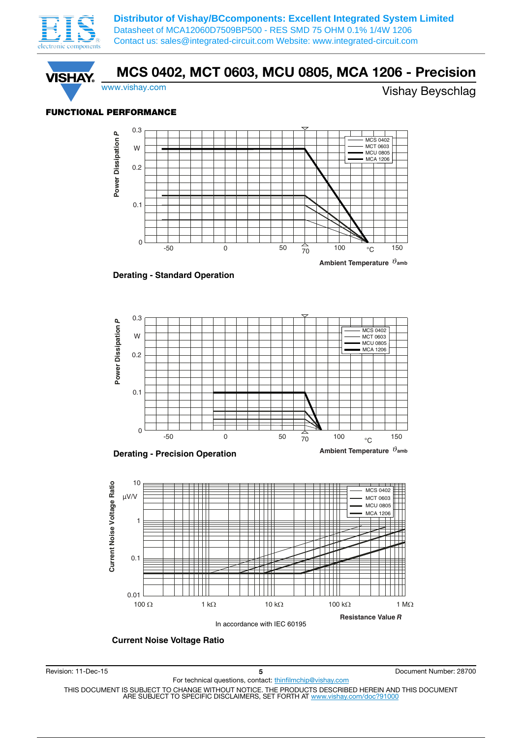



### FUNCTIONAL PERFORMANCE



**Derating - Standard Operation**



**Derating - Precision Operation**





**Current Noise Voltage Ratio**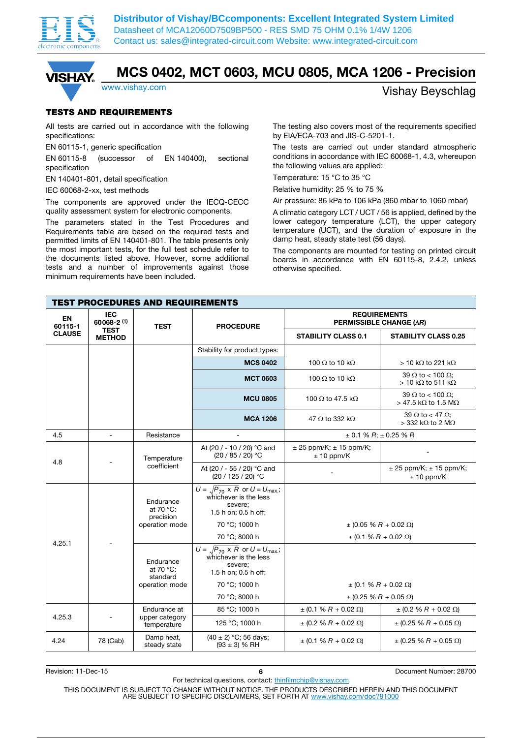



### MCS 0402, MCT 0603, MCU 0805, MCA 1206 - Precision

### www.vishay.com **Vishay.com** Vishay Beyschlag

#### TESTS AND REQUIREMENTS

All tests are carried out in accordance with the following specifications:

EN 60115-1, generic specification

EN 60115-8 (successor of EN 140400), sectional specification

EN 140401-801, detail specification

IEC 60068-2-xx, test methods

The components are approved under the IECQ-CECC quality assessment system for electronic components.

The parameters stated in the Test Procedures and Requirements table are based on the required tests and permitted limits of EN 140401-801. The table presents only the most important tests, for the full test schedule refer to the documents listed above. However, some additional tests and a number of improvements against those minimum requirements have been included.

The testing also covers most of the requirements specified by EIA/ECA-703 and JIS-C-5201-1.

The tests are carried out under standard atmospheric conditions in accordance with IEC 60068-1, 4.3, whereupon the following values are applied:

Temperature: 15 °C to 35 °C

Relative humidity: 25 % to 75 %

Air pressure: 86 kPa to 106 kPa (860 mbar to 1060 mbar)

A climatic category LCT / UCT / 56 is applied, defined by the lower category temperature (LCT), the upper category temperature (UCT), and the duration of exposure in the damp heat, steady state test (56 days).

The components are mounted for testing on printed circuit boards in accordance with EN 60115-8, 2.4.2, unless otherwise specified.

| <b>TEST PROCEDURES AND REQUIREMENTS</b> |                                             |                                                         |                                                                                                                    |                                                       |                                                          |  |  |
|-----------------------------------------|---------------------------------------------|---------------------------------------------------------|--------------------------------------------------------------------------------------------------------------------|-------------------------------------------------------|----------------------------------------------------------|--|--|
| <b>EN</b><br>60115-1                    | <b>IEC</b><br>$60068 - 2(1)$<br><b>TEST</b> |                                                         | <b>PROCEDURE</b>                                                                                                   | <b>REQUIREMENTS</b><br><b>PERMISSIBLE CHANGE (AR)</b> |                                                          |  |  |
| <b>CLAUSE</b>                           | <b>TEST</b><br><b>METHOD</b>                |                                                         |                                                                                                                    | <b>STABILITY CLASS 0.1</b>                            | <b>STABILITY CLASS 0.25</b>                              |  |  |
|                                         |                                             |                                                         | Stability for product types:                                                                                       |                                                       |                                                          |  |  |
|                                         |                                             |                                                         | <b>MCS 0402</b>                                                                                                    | 100 $\Omega$ to 10 k $\Omega$                         | $>$ 10 kΩ to 221 kΩ                                      |  |  |
|                                         |                                             |                                                         | <b>MCT 0603</b>                                                                                                    | 100 $\Omega$ to 10 k $\Omega$                         | 39 $\Omega$ to < 100 $\Omega$ ;<br>$>$ 10 kΩ to 511 kΩ   |  |  |
|                                         |                                             |                                                         | <b>MCU 0805</b>                                                                                                    | 100 $\Omega$ to 47.5 k $\Omega$                       | 39 $\Omega$ to < 100 $\Omega$ ;<br>$>$ 47.5 kΩ to 1.5 MΩ |  |  |
|                                         |                                             |                                                         | <b>MCA 1206</b>                                                                                                    | 47 $\Omega$ to 332 k $\Omega$                         | 39 $\Omega$ to < 47 $\Omega$ ;<br>$>$ 332 kΩ to 2 MΩ     |  |  |
| 4.5                                     | $\overline{a}$                              | Resistance                                              |                                                                                                                    |                                                       | $\pm$ 0.1 % R; $\pm$ 0.25 % R                            |  |  |
| 4.8                                     |                                             | Temperature                                             | At (20 / - 10 / 20) °C and<br>$(20/85/20)$ °C                                                                      | $\pm$ 25 ppm/K; $\pm$ 15 ppm/K;<br>$± 10$ ppm/K       |                                                          |  |  |
|                                         |                                             | coefficient                                             | At (20 / - 55 / 20) °C and<br>(20 / 125 / 20) °C                                                                   |                                                       | $± 25$ ppm/K; $± 15$ ppm/K;<br>$± 10$ ppm/K              |  |  |
|                                         |                                             | Endurance<br>at 70 °C:<br>precision                     | $U = \sqrt{P_{70} \times R}$ or $U = U_{\text{max}}$ ;<br>whichever is the less<br>severe;<br>1.5 h on; 0.5 h off; |                                                       |                                                          |  |  |
|                                         |                                             | operation mode<br>Endurance<br>at 70 $°C$ :<br>standard | 70 °C; 1000 h                                                                                                      |                                                       | $\pm$ (0.05 % R + 0.02 $\Omega$ )                        |  |  |
| 4.25.1                                  |                                             |                                                         | 70 °C; 8000 h                                                                                                      |                                                       | $\pm$ (0.1 % R + 0.02 $\Omega$ )                         |  |  |
|                                         |                                             |                                                         | $U = \sqrt{P_{70} \times R}$ or $U = U_{\text{max}}$ ;<br>whichever is the less<br>severe;<br>1.5 h on; 0.5 h off; |                                                       |                                                          |  |  |
|                                         |                                             | operation mode                                          | 70 °C; 1000 h                                                                                                      |                                                       | $\pm$ (0.1 % R + 0.02 $\Omega$ )                         |  |  |
|                                         |                                             |                                                         | 70 °C; 8000 h                                                                                                      |                                                       | $\pm$ (0.25 % R + 0.05 $\Omega$ )                        |  |  |
|                                         |                                             | Endurance at                                            | 85 °C; 1000 h                                                                                                      | $\pm (0.1 % R + 0.02 \Omega)$                         | $\pm$ (0.2 % R + 0.02 $\Omega$ )                         |  |  |
| 4.25.3                                  |                                             | upper category<br>temperature                           | 125 °C; 1000 h                                                                                                     | $\pm$ (0.2 % R + 0.02 $\Omega$ )                      | $\pm$ (0.25 % R + 0.05 $\Omega$ )                        |  |  |
| 4.24                                    | 78 (Cab)                                    | Damp heat,<br>steady state                              | $(40 \pm 2)$ °C; 56 days;<br>$(93 \pm 3)$ % RH                                                                     | $\pm$ (0.1 % R + 0.02 $\Omega$ )                      | $\pm$ (0.25 % R + 0.05 $\Omega$ )                        |  |  |

Revision: 11-Dec-15 **6 6 11-Dec-15 128700 6 128700 6 128700 6 128700 6 128700 6 128700** 

For technical questions, contact: thinfilmchip@vishay.com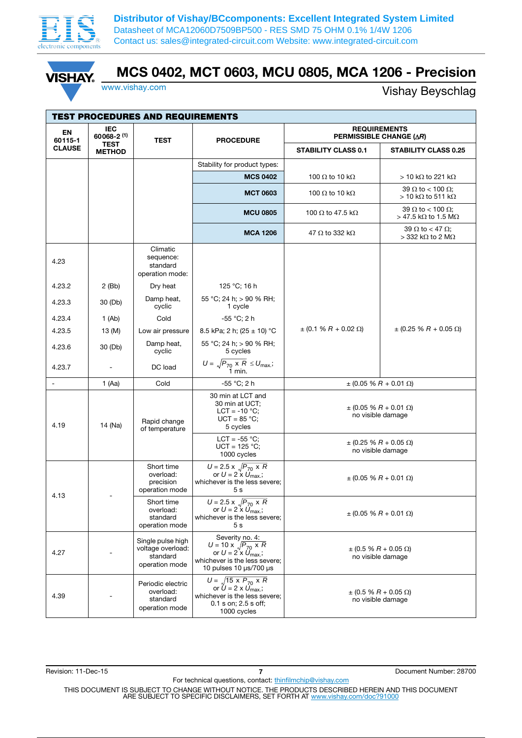

**VISHAY** 

**Distributor of Vishay/BCcomponents: Excellent Integrated System Limited** Datasheet of MCA12060D7509BP500 - RES SMD 75 OHM 0.1% 1/4W 1206 Contact us: sales@integrated-circuit.com Website: www.integrated-circuit.com

### MCS 0402, MCT 0603, MCU 0805, MCA 1206 - Precision

www.vishay.com Vishay Beyschlag

| <b>TEST PROCEDURES AND REQUIREMENTS</b> |                                             |                                                                      |                                                                                                                                                               |                                                        |                                                                      |  |  |  |
|-----------------------------------------|---------------------------------------------|----------------------------------------------------------------------|---------------------------------------------------------------------------------------------------------------------------------------------------------------|--------------------------------------------------------|----------------------------------------------------------------------|--|--|--|
| EN<br>60115-1                           | <b>IEC</b><br>$60068 - 2(1)$<br><b>TEST</b> | <b>TEST</b>                                                          | <b>PROCEDURE</b>                                                                                                                                              | <b>REQUIREMENTS</b><br><b>PERMISSIBLE CHANGE (AR)</b>  |                                                                      |  |  |  |
| <b>CLAUSE</b>                           | <b>METHOD</b>                               |                                                                      |                                                                                                                                                               | <b>STABILITY CLASS 0.1</b>                             | <b>STABILITY CLASS 0.25</b>                                          |  |  |  |
|                                         |                                             |                                                                      | Stability for product types:                                                                                                                                  |                                                        |                                                                      |  |  |  |
|                                         |                                             |                                                                      | <b>MCS 0402</b>                                                                                                                                               | 100 $\Omega$ to 10 k $\Omega$                          | $>$ 10 kΩ to 221 kΩ                                                  |  |  |  |
|                                         |                                             |                                                                      | <b>MCT 0603</b>                                                                                                                                               | 100 $\Omega$ to 10 k $\Omega$                          | 39 $\Omega$ to < 100 $\Omega$ ;<br>$>$ 10 kΩ to 511 kΩ               |  |  |  |
|                                         |                                             |                                                                      | <b>MCU 0805</b>                                                                                                                                               | 100 $\Omega$ to 47.5 k $\Omega$                        | 39 $\Omega$ to < 100 $\Omega$ ;<br>$>$ 47.5 kΩ to 1.5 MΩ             |  |  |  |
|                                         |                                             |                                                                      | <b>MCA 1206</b>                                                                                                                                               | 47 $\Omega$ to 332 k $\Omega$                          | 39 $\Omega$ to < 47 $\Omega$ ;<br>$>$ 332 k $\Omega$ to 2 M $\Omega$ |  |  |  |
| 4.23                                    |                                             | Climatic<br>sequence:<br>standard<br>operation mode:                 |                                                                                                                                                               |                                                        |                                                                      |  |  |  |
| 4.23.2                                  | $2$ (Bb)                                    | Dry heat                                                             | 125 °C; 16 h                                                                                                                                                  |                                                        |                                                                      |  |  |  |
| 4.23.3                                  | 30 (Db)                                     | Damp heat,<br>cyclic                                                 | 55 °C; 24 h; > 90 % RH;<br>1 cycle                                                                                                                            |                                                        |                                                                      |  |  |  |
| 4.23.4                                  | 1(Ab)                                       | Cold                                                                 | -55 °C; 2 h                                                                                                                                                   |                                                        |                                                                      |  |  |  |
| 4.23.5                                  | 13 (M)                                      | Low air pressure                                                     | 8.5 kPa; 2 h; (25 $\pm$ 10) °C                                                                                                                                | $\pm$ (0.1 % R + 0.02 $\Omega$ )                       | $\pm$ (0.25 % R + 0.05 $\Omega$ )                                    |  |  |  |
| 4.23.6                                  | 30 (Db)                                     | Damp heat,<br>cyclic                                                 | 55 °C; 24 h; > 90 % RH;<br>5 cycles                                                                                                                           |                                                        |                                                                      |  |  |  |
| 4.23.7                                  |                                             | DC load                                                              | $U = \sqrt{P_{70} \times R} \leq U_{\text{max}};$ 1 min.                                                                                                      |                                                        |                                                                      |  |  |  |
|                                         | 1 (Aa)                                      | Cold                                                                 | -55 °C; 2 h                                                                                                                                                   |                                                        | $\pm$ (0.05 % R + 0.01 $\Omega$ )                                    |  |  |  |
| 4.19                                    | 14 (Na)                                     | Rapid change<br>of temperature                                       | 30 min at LCT and<br>30 min at UCT;<br>$LCT = -10 °C$ ;<br>$UCT = 85 °C$ ;<br>5 cycles                                                                        | $\pm$ (0.05 % R + 0.01 $\Omega$ )<br>no visible damage |                                                                      |  |  |  |
|                                         |                                             |                                                                      | LCT = $-55$ °C;<br>$UCT = 125 °C$ ;<br>1000 cycles                                                                                                            |                                                        | $\pm$ (0.25 % R + 0.05 $\Omega$ )<br>no visible damage               |  |  |  |
| 4.13                                    |                                             | Short time<br>overload:<br>precision<br>operation mode               | $U = 2.5 \times \sqrt{P_{70} \times R}$<br>or $U = 2 \times U_{\text{max}}$ ;<br>whichever is the less severe;<br>5 <sub>s</sub>                              | $\pm$ (0.05 % R + 0.01 $\Omega$ )                      |                                                                      |  |  |  |
|                                         |                                             | Short time<br>overload:<br>standard<br>operation mode                | $U = 2.5 \times \sqrt{P_{70} \times R}$<br>or $U = 2 \times U_{\text{max}}$ ;<br>whichever is the less severe;<br>5 <sub>s</sub>                              | $\pm$ (0.05 % R + 0.01 $\Omega$ )                      |                                                                      |  |  |  |
| 4.27                                    |                                             | Single pulse high<br>voltage overload:<br>standard<br>operation mode | Severity no. 4:<br>$U = 10 \times \sqrt{P_{70} \times R}$<br>or $U = 2x \ddot{U}_{\text{max}}$ ;<br>whichever is the less severe;<br>10 pulses 10 µs/700 µs   | $\pm$ (0.5 % R + 0.05 $\Omega$ )<br>no visible damage  |                                                                      |  |  |  |
| 4.39                                    |                                             | Periodic electric<br>overload:<br>standard<br>operation mode         | $U = \sqrt{15 \times P_{70} \times R}$<br>or $\hat{U}$ = 2 x $\hat{U}_{\text{max}}$ ;<br>whichever is the less severe;<br>0.1 s on; 2.5 s off;<br>1000 cycles |                                                        | $\pm$ (0.5 % R + 0.05 $\Omega$ )<br>no visible damage                |  |  |  |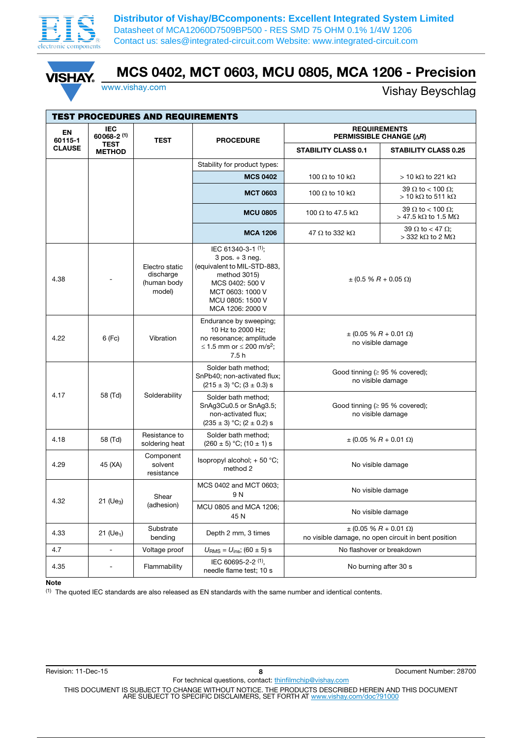

**VISHA** 

**Distributor of Vishay/BCcomponents: Excellent Integrated System Limited** Datasheet of MCA12060D7509BP500 - RES SMD 75 OHM 0.1% 1/4W 1206 Contact us: sales@integrated-circuit.com Website: www.integrated-circuit.com

## MCS 0402, MCT 0603, MCU 0805, MCA 1206 - Precision

www.vishay.com Vishay Beyschlag

|                      |                              | <b>TEST PROCEDURES AND REQUIREMENTS</b>              |                                                                                                                                                                        |                                                           |                                                                                          |
|----------------------|------------------------------|------------------------------------------------------|------------------------------------------------------------------------------------------------------------------------------------------------------------------------|-----------------------------------------------------------|------------------------------------------------------------------------------------------|
| <b>EN</b><br>60115-1 | <b>IEC</b><br>$60068 - 2(1)$ | <b>TEST</b>                                          | <b>PROCEDURE</b>                                                                                                                                                       |                                                           | <b>REQUIREMENTS</b><br><b>PERMISSIBLE CHANGE (AR)</b>                                    |
| <b>CLAUSE</b>        | <b>TEST</b><br><b>METHOD</b> |                                                      |                                                                                                                                                                        | <b>STABILITY CLASS 0.1</b>                                | <b>STABILITY CLASS 0.25</b>                                                              |
|                      |                              |                                                      | Stability for product types:                                                                                                                                           |                                                           |                                                                                          |
|                      |                              |                                                      | <b>MCS 0402</b>                                                                                                                                                        | 100 $\Omega$ to 10 k $\Omega$                             | $>$ 10 kΩ to 221 kΩ                                                                      |
|                      |                              |                                                      | <b>MCT 0603</b>                                                                                                                                                        | 100 $\Omega$ to 10 k $\Omega$                             | 39 $\Omega$ to < 100 $\Omega$ ;<br>$>$ 10 kΩ to 511 kΩ                                   |
|                      |                              |                                                      | <b>MCU 0805</b>                                                                                                                                                        | 100 $\Omega$ to 47.5 k $\Omega$                           | 39 $\Omega$ to < 100 $\Omega$ ;<br>> 47.5 kΩ to 1.5 MΩ                                   |
|                      |                              |                                                      | <b>MCA 1206</b>                                                                                                                                                        | 47 $\Omega$ to 332 k $\Omega$                             | 39 $\Omega$ to < 47 $\Omega$ ;<br>$>$ 332 kΩ to 2 MΩ                                     |
| 4.38                 |                              | Electro static<br>discharge<br>(human body<br>model) | IEC 61340-3-1 (1);<br>$3$ pos. $+3$ neg.<br>(equivalent to MIL-STD-883,<br>method 3015)<br>MCS 0402: 500 V<br>MCT 0603: 1000 V<br>MCU 0805: 1500 V<br>MCA 1206: 2000 V |                                                           | $\pm$ (0.5 % R + 0.05 $\Omega$ )                                                         |
| 4.22                 | 6 (Fc)                       | Vibration                                            | Endurance by sweeping;<br>10 Hz to 2000 Hz;<br>no resonance; amplitude<br>≤ 1.5 mm or ≤ 200 m/s <sup>2</sup> ;<br>7.5h                                                 | $\pm$ (0.05 % R + 0.01 $\Omega$ )<br>no visible damage    |                                                                                          |
|                      |                              |                                                      | Solder bath method;<br>SnPb40; non-activated flux;<br>$(215 \pm 3)$ °C; $(3 \pm 0.3)$ s                                                                                | Good tinning ( $\geq$ 95 % covered);<br>no visible damage |                                                                                          |
| 4.17                 | 58 (Td)                      | Solderability                                        | Solder bath method;<br>SnAg3Cu0.5 or SnAg3.5;<br>non-activated flux;<br>$(235 \pm 3)$ °C; $(2 \pm 0.2)$ s                                                              |                                                           | Good tinning ( $\geq$ 95 % covered);<br>no visible damage                                |
| 4.18                 | 58 (Td)                      | Resistance to<br>soldering heat                      | Solder bath method;<br>$(260 \pm 5)$ °C; $(10 \pm 1)$ s                                                                                                                |                                                           | $\pm$ (0.05 % R + 0.01 $\Omega$ )                                                        |
| 4.29                 | 45 (XA)                      | Component<br>solvent<br>resistance                   | Isopropyl alcohol; + 50 °C;<br>method 2                                                                                                                                | No visible damage                                         |                                                                                          |
|                      |                              | Shear                                                | MCS 0402 and MCT 0603;<br>9 N                                                                                                                                          | No visible damage                                         |                                                                                          |
| 4.32                 | 21 (Ue <sub>3</sub> )        | (adhesion)                                           | MCU 0805 and MCA 1206;<br>45 N                                                                                                                                         | No visible damage                                         |                                                                                          |
| 4.33                 | 21 ( $Ue_1$ )                | Substrate<br>bending                                 | Depth 2 mm, 3 times                                                                                                                                                    |                                                           | $\pm$ (0.05 % R + 0.01 $\Omega$ )<br>no visible damage, no open circuit in bent position |
| 4.7                  | $\overline{a}$               | Voltage proof                                        | $U_{\rm RMS} = U_{\rm ins}$ ; (60 ± 5) s                                                                                                                               |                                                           | No flashover or breakdown                                                                |
| 4.35                 |                              | Flammability                                         | IEC 60695-2-2 (1),<br>needle flame test; 10 s                                                                                                                          |                                                           | No burning after 30 s                                                                    |

#### Note

(1) The quoted IEC standards are also released as EN standards with the same number and identical contents.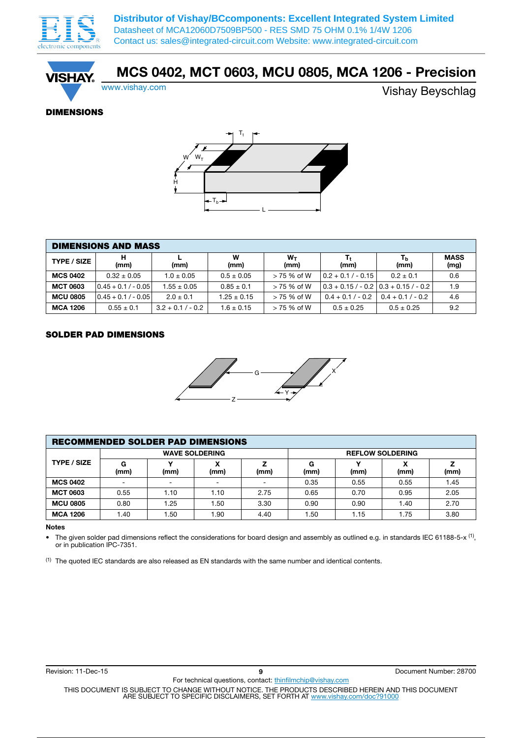

**ISHA** 

**Distributor of Vishay/BCcomponents: Excellent Integrated System Limited** Datasheet of MCA12060D7509BP500 - RES SMD 75 OHM 0.1% 1/4W 1206 Contact us: sales@integrated-circuit.com Website: www.integrated-circuit.com

### MCS 0402, MCT 0603, MCU 0805, MCA 1206 - Precision

www.vishay.com Vishay Beyschlag

### DIMENSIONS



| <b>DIMENSIONS AND MASS</b> |                       |                     |                 |               |                      |                                             |                     |  |  |
|----------------------------|-----------------------|---------------------|-----------------|---------------|----------------------|---------------------------------------------|---------------------|--|--|
| <b>TYPE / SIZE</b>         | (mm)                  | (mm)                | w<br>(mm)       | $W_T$<br>(mm) | (mm)                 | Ть<br>(mm)                                  | <b>MASS</b><br>(mg) |  |  |
| <b>MCS 0402</b>            | $0.32 \pm 0.05$       | $1.0 \pm 0.05$      | $0.5 \pm 0.05$  | $> 75%$ of W  | $0.2 + 0.1 / - 0.15$ | $0.2 \pm 0.1$                               | 0.6                 |  |  |
| <b>MCT 0603</b>            | $0.45 + 0.1 / - 0.05$ | $1.55 \pm 0.05$     | $0.85 \pm 0.1$  | $>75%$ of W   |                      | $0.3 + 0.15 / - 0.2   0.3 + 0.15 / - 0.2  $ | 1.9                 |  |  |
| <b>MCU 0805</b>            | $0.45 + 0.1 / - 0.05$ | $2.0 \pm 0.1$       | $1.25 \pm 0.15$ | $>75%$ of W   | $0.4 + 0.1 / - 0.2$  | $0.4 + 0.1 / - 0.2$                         | 4.6                 |  |  |
| <b>MCA 1206</b>            | $0.55 \pm 0.1$        | $3.2 + 0.1 / - 0.2$ | $1.6 \pm 0.15$  | $> 75%$ of W  | $0.5 \pm 0.25$       | $0.5 \pm 0.25$                              | 9.2                 |  |  |

#### SOLDER PAD DIMENSIONS



| <b>RECOMMENDED SOLDER PAD DIMENSIONS</b> |                       |      |       |      |           |                         |           |      |  |
|------------------------------------------|-----------------------|------|-------|------|-----------|-------------------------|-----------|------|--|
| <b>TYPE / SIZE</b>                       | <b>WAVE SOLDERING</b> |      |       |      |           | <b>REFLOW SOLDERING</b> |           |      |  |
|                                          | G<br>(mm)             | (mm) | (mm)  | (mm) | G<br>(mm) | v<br>(mm)               | χ<br>(mm) | (mm) |  |
| <b>MCS 0402</b>                          | -                     |      |       |      | 0.35      | 0.55                    | 0.55      | 1.45 |  |
| <b>MCT 0603</b>                          | 0.55                  | 1.10 | 1.10  | 2.75 | 0.65      | 0.70                    | 0.95      | 2.05 |  |
| <b>MCU 0805</b>                          | 0.80                  | 1.25 | 50. ا | 3.30 | 0.90      | 0.90                    | 1.40      | 2.70 |  |
| <b>MCA 1206</b>                          | 40. ا                 | 50،، | .90   | 4.40 | 1.50      | 1.15                    | 1.75      | 3.80 |  |

#### Notes

• The given solder pad dimensions reflect the considerations for board design and assembly as outlined e.g. in standards IEC 61188-5-x <sup>(1)</sup>, or in publication IPC-7351.

(1) The quoted IEC standards are also released as EN standards with the same number and identical contents.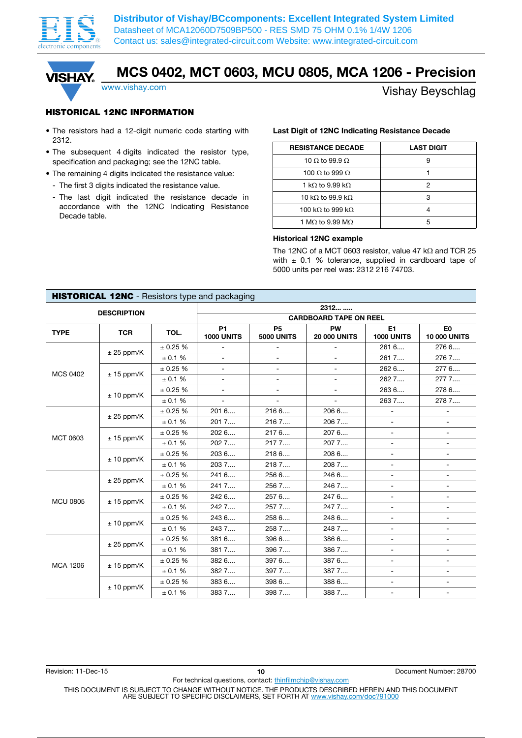



## MCS 0402, MCT 0603, MCU 0805, MCA 1206 - Precision

### www.vishay.com **Vishay.com** Vishay Beyschlag

### HISTORICAL 12NC INFORMATION

- The resistors had a 12-digit numeric code starting with 2312.
- The subsequent 4 digits indicated the resistor type, specification and packaging; see the 12NC table.
- The remaining 4 digits indicated the resistance value:
	- The first 3 digits indicated the resistance value.
	- The last digit indicated the resistance decade in accordance with the 12NC Indicating Resistance Decade table.

#### Last Digit of 12NC Indicating Resistance Decade

| <b>RESISTANCE DECADE</b>        | <b>LAST DIGIT</b> |
|---------------------------------|-------------------|
| 10 $\Omega$ to 99.9 $\Omega$    |                   |
| 100 $\Omega$ to 999 $\Omega$    |                   |
| 1 k $\Omega$ to 9.99 k $\Omega$ |                   |
| 10 kQ to 99.9 kQ                | З                 |
| 100 kΩ to 999 kΩ                |                   |
| 1 M $\Omega$ to 9.99 M $\Omega$ |                   |

#### Historical 12NC example

The 12NC of a MCT 0603 resistor, value 47  $k\Omega$  and TCR 25 with  $\pm$  0.1 % tolerance, supplied in cardboard tape of 5000 units per reel was: 2312 216 74703.

|                 | HISTORICAL 12NC - Resistors type and packaging |         |                                |                                |                                  |                              |                                       |  |  |  |
|-----------------|------------------------------------------------|---------|--------------------------------|--------------------------------|----------------------------------|------------------------------|---------------------------------------|--|--|--|
|                 | <b>DESCRIPTION</b>                             |         |                                |                                | 2312                             |                              |                                       |  |  |  |
|                 |                                                |         |                                | <b>CARDBOARD TAPE ON REEL</b>  |                                  |                              |                                       |  |  |  |
| <b>TYPE</b>     | <b>TCR</b>                                     | TOL.    | <b>P1</b><br><b>1000 UNITS</b> | <b>P5</b><br><b>5000 UNITS</b> | <b>PW</b><br><b>20 000 UNITS</b> | E1<br><b>1000 UNITS</b>      | E <sub>0</sub><br><b>10 000 UNITS</b> |  |  |  |
|                 |                                                | ± 0.25% | $\overline{\phantom{0}}$       | $\overline{\phantom{a}}$       | $\blacksquare$                   | 261 6                        | 276 6                                 |  |  |  |
|                 | $± 25$ ppm/K                                   | ± 0.1 % | $\overline{a}$                 | $\overline{a}$                 | $\overline{a}$                   | 261 7                        | 276 7                                 |  |  |  |
| <b>MCS 0402</b> |                                                | ± 0.25% | $\overline{a}$                 | $\overline{a}$                 |                                  | 262 6                        | 2776                                  |  |  |  |
|                 | $± 15$ ppm/K                                   | ± 0.1 % | $\overline{a}$                 | $\overline{\phantom{0}}$       | $\blacksquare$                   | 262 7                        | 2777                                  |  |  |  |
|                 |                                                | ± 0.25% | $\overline{a}$                 |                                | $\overline{a}$                   | 263 6                        | 278 6                                 |  |  |  |
|                 | $± 10$ ppm/K                                   | ± 0.1 % | $\blacksquare$                 | $\overline{\phantom{0}}$       | $\blacksquare$                   | 263 7                        | 278 7                                 |  |  |  |
|                 |                                                | ± 0.25% | 201 6                          | 2166                           | 206 6                            | $\qquad \qquad \blacksquare$ |                                       |  |  |  |
| MCT 0603        | $± 25$ ppm/K                                   | ± 0.1 % | 2017                           | 2167                           | 2067                             |                              |                                       |  |  |  |
|                 | $± 15$ ppm/K                                   | ± 0.25% | 202 6                          | 2176                           | 207 6                            | $\overline{\phantom{a}}$     | $\overline{\phantom{a}}$              |  |  |  |
|                 |                                                | ± 0.1 % | 202 7                          | 2177                           | 2077                             |                              |                                       |  |  |  |
|                 | $± 10$ ppm/K                                   | ± 0.25% | 203 6                          | 218 6                          | 2086                             |                              |                                       |  |  |  |
|                 |                                                | ± 0.1 % | 2037                           | 2187                           | 2087                             | $\blacksquare$               | $\overline{a}$                        |  |  |  |
|                 | $± 25$ ppm/K                                   | ± 0.25% | 241 6                          | 256 6                          | 246 6                            |                              |                                       |  |  |  |
|                 |                                                | ± 0.1 % | 241 7                          | 256 7                          | 2467                             | $\blacksquare$               | $\sim$                                |  |  |  |
| <b>MCU 0805</b> |                                                | ± 0.25% | 242 6                          | 257 6                          | 247 6                            | $\overline{\phantom{a}}$     | $\blacksquare$                        |  |  |  |
|                 | $± 15$ ppm/K                                   | ± 0.1 % | 242 7                          | 257 7                          | 2477                             | $\overline{\phantom{0}}$     |                                       |  |  |  |
|                 | $± 10$ ppm/K                                   | ± 0.25% | 243 6                          | 258 6                          | 248 6                            | $\overline{\phantom{a}}$     | $\overline{\phantom{0}}$              |  |  |  |
|                 |                                                | ± 0.1 % | 243 7                          | 258 7                          | 2487                             | $\overline{\phantom{a}}$     |                                       |  |  |  |
|                 | $± 25$ ppm/K                                   | ± 0.25% | 381 6                          | 396 6                          | 386 6                            | $\overline{a}$               |                                       |  |  |  |
|                 |                                                | ± 0.1 % | 381 7                          | 396 7                          | 3867                             | $\overline{\phantom{a}}$     | $\overline{\phantom{a}}$              |  |  |  |
| <b>MCA 1206</b> | $± 15$ ppm/K                                   | ± 0.25% | 382 6                          | 397 6                          | 387 6                            |                              |                                       |  |  |  |
|                 |                                                | ± 0.1 % | 382 7                          | 397 7                          | 3877                             | $\overline{\phantom{a}}$     | $\overline{\phantom{a}}$              |  |  |  |
|                 | $± 10$ ppm/K                                   | ± 0.25% | 383 6                          | 398 6                          | 388 6                            | $\overline{\phantom{a}}$     | $\overline{\phantom{a}}$              |  |  |  |
|                 |                                                | ± 0.1 % | 383 7                          | 398 7                          | 3887                             |                              |                                       |  |  |  |